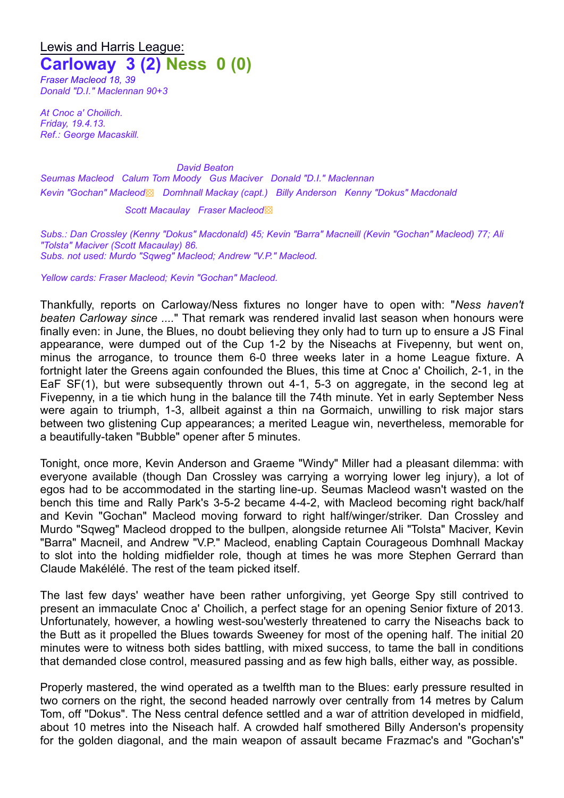## Lewis and Harris League: **Carloway 3 (2) Ness 0 (0)**

*Fraser Macleod 18, 39 Donald "D.I." Maclennan 90+3*

*At Cnoc a' Choilich. Friday, 19.4.13. Ref.: George Macaskill.*

*David Beaton Seumas Macleod Calum Tom Moody Gus Maciver Donald "D.I." Maclennan Kevin "Gochan" Macleod*▩ *Domhnall Mackay (capt.) Billy Anderson Kenny "Dokus" Macdonald*

*Scott Macaulay Fraser Macleod*▩

*Subs.: Dan Crossley (Kenny "Dokus" Macdonald) 45; Kevin "Barra" Macneill (Kevin "Gochan" Macleod) 77; Ali "Tolsta" Maciver (Scott Macaulay) 86. Subs. not used: Murdo "Sqweg" Macleod; Andrew "V.P." Macleod.*

*Yellow cards: Fraser Macleod; Kevin "Gochan" Macleod.*

Thankfully, reports on Carloway/Ness fixtures no longer have to open with: "*Ness haven't beaten Carloway since ....*" That remark was rendered invalid last season when honours were finally even: in June, the Blues, no doubt believing they only had to turn up to ensure a JS Final appearance, were dumped out of the Cup 1-2 by the Niseachs at Fivepenny, but went on, minus the arrogance, to trounce them 6-0 three weeks later in a home League fixture. A fortnight later the Greens again confounded the Blues, this time at Cnoc a' Choilich, 2-1, in the EaF SF(1), but were subsequently thrown out 4-1, 5-3 on aggregate, in the second leg at Fivepenny, in a tie which hung in the balance till the 74th minute. Yet in early September Ness were again to triumph, 1-3, allbeit against a thin na Gormaich, unwilling to risk major stars between two glistening Cup appearances; a merited League win, nevertheless, memorable for a beautifully-taken "Bubble" opener after 5 minutes.

Tonight, once more, Kevin Anderson and Graeme "Windy" Miller had a pleasant dilemma: with everyone available (though Dan Crossley was carrying a worrying lower leg injury), a lot of egos had to be accommodated in the starting line-up. Seumas Macleod wasn't wasted on the bench this time and Rally Park's 3-5-2 became 4-4-2, with Macleod becoming right back/half and Kevin "Gochan" Macleod moving forward to right half/winger/striker. Dan Crossley and Murdo "Sqweg" Macleod dropped to the bullpen, alongside returnee Ali "Tolsta" Maciver, Kevin "Barra" Macneil, and Andrew "V.P." Macleod, enabling Captain Courageous Domhnall Mackay to slot into the holding midfielder role, though at times he was more Stephen Gerrard than Claude Makélélé. The rest of the team picked itself.

The last few days' weather have been rather unforgiving, yet George Spy still contrived to present an immaculate Cnoc a' Choilich, a perfect stage for an opening Senior fixture of 2013. Unfortunately, however, a howling west-sou'westerly threatened to carry the Niseachs back to the Butt as it propelled the Blues towards Sweeney for most of the opening half. The initial 20 minutes were to witness both sides battling, with mixed success, to tame the ball in conditions that demanded close control, measured passing and as few high balls, either way, as possible.

Properly mastered, the wind operated as a twelfth man to the Blues: early pressure resulted in two corners on the right, the second headed narrowly over centrally from 14 metres by Calum Tom, off "Dokus". The Ness central defence settled and a war of attrition developed in midfield, about 10 metres into the Niseach half. A crowded half smothered Billy Anderson's propensity for the golden diagonal, and the main weapon of assault became Frazmac's and "Gochan's"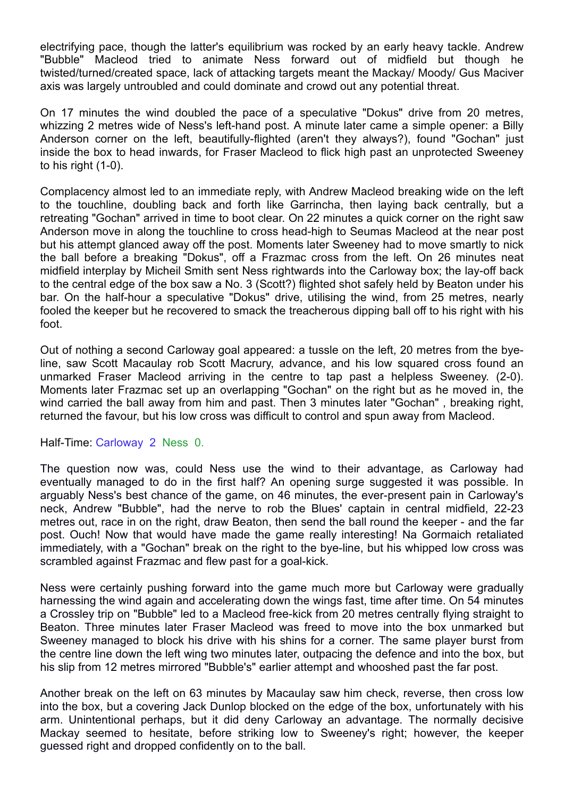electrifying pace, though the latter's equilibrium was rocked by an early heavy tackle. Andrew "Bubble" Macleod tried to animate Ness forward out of midfield but though he twisted/turned/created space, lack of attacking targets meant the Mackay/ Moody/ Gus Maciver axis was largely untroubled and could dominate and crowd out any potential threat.

On 17 minutes the wind doubled the pace of a speculative "Dokus" drive from 20 metres, whizzing 2 metres wide of Ness's left-hand post. A minute later came a simple opener: a Billy Anderson corner on the left, beautifully-flighted (aren't they always?), found "Gochan" just inside the box to head inwards, for Fraser Macleod to flick high past an unprotected Sweeney to his right (1-0).

Complacency almost led to an immediate reply, with Andrew Macleod breaking wide on the left to the touchline, doubling back and forth like Garrincha, then laying back centrally, but a retreating "Gochan" arrived in time to boot clear. On 22 minutes a quick corner on the right saw Anderson move in along the touchline to cross head-high to Seumas Macleod at the near post but his attempt glanced away off the post. Moments later Sweeney had to move smartly to nick the ball before a breaking "Dokus", off a Frazmac cross from the left. On 26 minutes neat midfield interplay by Micheil Smith sent Ness rightwards into the Carloway box; the lay-off back to the central edge of the box saw a No. 3 (Scott?) flighted shot safely held by Beaton under his bar. On the half-hour a speculative "Dokus" drive, utilising the wind, from 25 metres, nearly fooled the keeper but he recovered to smack the treacherous dipping ball off to his right with his foot.

Out of nothing a second Carloway goal appeared: a tussle on the left, 20 metres from the byeline, saw Scott Macaulay rob Scott Macrury, advance, and his low squared cross found an unmarked Fraser Macleod arriving in the centre to tap past a helpless Sweeney. (2-0). Moments later Frazmac set up an overlapping "Gochan" on the right but as he moved in, the wind carried the ball away from him and past. Then 3 minutes later "Gochan" , breaking right, returned the favour, but his low cross was difficult to control and spun away from Macleod.

Half-Time: Carloway 2 Ness 0.

The question now was, could Ness use the wind to their advantage, as Carloway had eventually managed to do in the first half? An opening surge suggested it was possible. In arguably Ness's best chance of the game, on 46 minutes, the ever-present pain in Carloway's neck, Andrew "Bubble", had the nerve to rob the Blues' captain in central midfield, 22-23 metres out, race in on the right, draw Beaton, then send the ball round the keeper - and the far post. Ouch! Now that would have made the game really interesting! Na Gormaich retaliated immediately, with a "Gochan" break on the right to the bye-line, but his whipped low cross was scrambled against Frazmac and flew past for a goal-kick.

Ness were certainly pushing forward into the game much more but Carloway were gradually harnessing the wind again and accelerating down the wings fast, time after time. On 54 minutes a Crossley trip on "Bubble" led to a Macleod free-kick from 20 metres centrally flying straight to Beaton. Three minutes later Fraser Macleod was freed to move into the box unmarked but Sweeney managed to block his drive with his shins for a corner. The same player burst from the centre line down the left wing two minutes later, outpacing the defence and into the box, but his slip from 12 metres mirrored "Bubble's" earlier attempt and whooshed past the far post.

Another break on the left on 63 minutes by Macaulay saw him check, reverse, then cross low into the box, but a covering Jack Dunlop blocked on the edge of the box, unfortunately with his arm. Unintentional perhaps, but it did deny Carloway an advantage. The normally decisive Mackay seemed to hesitate, before striking low to Sweeney's right; however, the keeper guessed right and dropped confidently on to the ball.